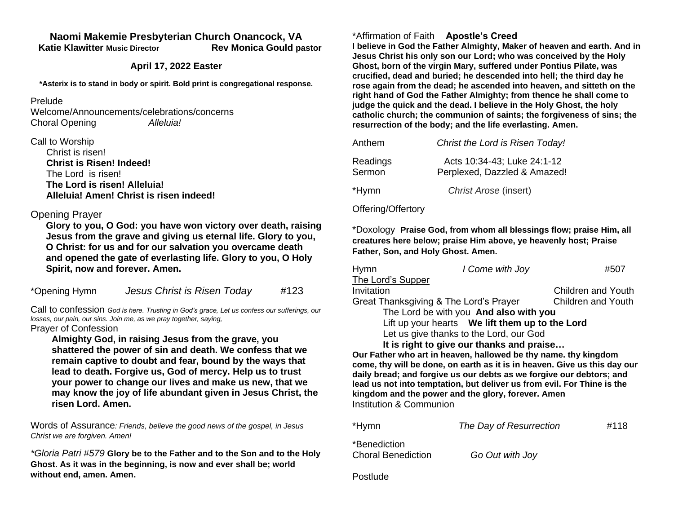### **Naomi Makemie Presbyterian Church Onancock, VA Katie Klawitter Music Director Rev Monica Gould pastor**

### **April 17, 2022 Easter**

**\*Asterix is to stand in body or spirit. Bold print is congregational response.**

#### Prelude

Welcome/Announcements/celebrations/concerns Choral Opening *Alleluia!*

### Call to Worship

| Christ is risen!                        |
|-----------------------------------------|
| <b>Christ is Risen! Indeed!</b>         |
| The Lord is risen!                      |
| The Lord is risen! Alleluia!            |
| Alleluia! Amen! Christ is risen indeed! |

# Opening Prayer

**Glory to you, O God: you have won victory over death, raising Jesus from the grave and giving us eternal life. Glory to you, O Christ: for us and for our salvation you overcame death and opened the gate of everlasting life. Glory to you, O Holy Spirit, now and forever. Amen.** 

\*Opening Hymn *Jesus Christ is Risen Today* #123

Call to confession *God is here. Trusting in God's grace, Let us confess our sufferings, our losses, our pain, our sins. Join me, as we pray together, saying,* Prayer of Confession

**Almighty God, in raising Jesus from the grave, you shattered the power of sin and death. We confess that we remain captive to doubt and fear, bound by the ways that lead to death. Forgive us, God of mercy. Help us to trust your power to change our lives and make us new, that we may know the joy of life abundant given in Jesus Christ, the risen Lord. Amen.**

Words of Assurance*: Friends, believe the good news of the gospel, in Jesus Christ we are forgiven. Amen!*

*\*Gloria Patri #579* **Glory be to the Father and to the Son and to the Holy Ghost. As it was in the beginning, is now and ever shall be; world without end, amen. Amen.** 

# \*Affirmation of Faith **Apostle's Creed**

**I believe in God the Father Almighty, Maker of heaven and earth. And in Jesus Christ his only son our Lord; who was conceived by the Holy Ghost, born of the virgin Mary, suffered under Pontius Pilate, was crucified, dead and buried; he descended into hell; the third day he rose again from the dead; he ascended into heaven, and sitteth on the right hand of God the Father Almighty; from thence he shall come to judge the quick and the dead. I believe in the Holy Ghost, the holy catholic church; the communion of saints; the forgiveness of sins; the resurrection of the body; and the life everlasting. Amen.**

| Anthem             | Christ the Lord is Risen Today!                             |
|--------------------|-------------------------------------------------------------|
| Readings<br>Sermon | Acts 10:34-43; Luke 24:1-12<br>Perplexed, Dazzled & Amazed! |
| *Hymn              | Christ Arose (insert)                                       |

## Offering/Offertory

\*Doxology **Praise God, from whom all blessings flow; praise Him, all creatures here below; praise Him above, ye heavenly host; Praise Father, Son, and Holy Ghost. Amen.** 

| <b>Hymn</b>                                      | I Come with Joy | #507                      |  |  |
|--------------------------------------------------|-----------------|---------------------------|--|--|
| The Lord's Supper                                |                 |                           |  |  |
| Invitation                                       |                 | <b>Children and Youth</b> |  |  |
| Great Thanksgiving & The Lord's Prayer           |                 | <b>Children and Youth</b> |  |  |
| The Lord be with you And also with you           |                 |                           |  |  |
| Lift up your hearts  We lift them up to the Lord |                 |                           |  |  |
| Let us give thanks to the Lord, our God          |                 |                           |  |  |
| It is right to give our thanks and praise        |                 |                           |  |  |

**Our Father who art in heaven, hallowed be thy name. thy kingdom come, thy will be done, on earth as it is in heaven. Give us this day our daily bread; and forgive us our debts as we forgive our debtors; and lead us not into temptation, but deliver us from evil. For Thine is the kingdom and the power and the glory, forever. Amen** Institution & Communion

\*Hymn *The Day of Resurrection* #118 \*Benediction Choral Benediction *Go Out with Joy*

Postlude